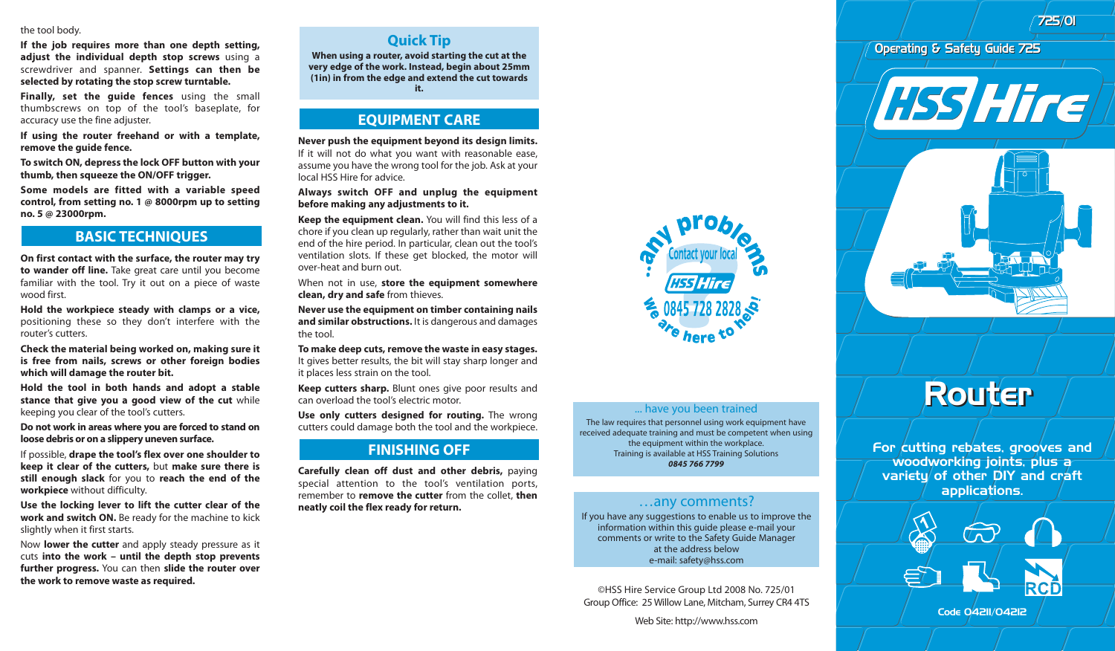#### the tool body.

**If the job requires more than one depth setting, adjust the individual depth stop screws** using a screwdriver and spanner. **Settings can then be selected by rotating the stop screw turntable.**

**Finally, set the guide fences** using the small thumbscrews on top of the tool's baseplate, for accuracy use the fine adjuster.

**If using the router freehand or with a template, remove the guide fence.**

**To switch ON, depress the lock OFF button with your thumb, then squeeze the ON/OFF trigger.**

**Some models are fitted with a variable speed control, from setting no. 1 @ 8000rpm up to setting no. 5 @ 23000rpm.**

# **BASIC TECHNIQUES**

**On first contact with the surface, the router may try to wander off line.** Take great care until you become familiar with the tool. Try it out on a piece of waste wood first.

**Hold the workpiece steady with clamps or a vice,** positioning these so they don't interfere with the router's cutters.

**Check the material being worked on, making sure it is free from nails, screws or other foreign bodies which will damage the router bit.**

**Hold the tool in both hands and adopt a stable stance that give you a good view of the cut** while keeping you clear of the tool's cutters.

**Do not work in areas where you are forced to stand on loose debris or on a slippery uneven surface.**

If possible, **drape the tool's flex over one shoulder to keep it clear of the cutters,** but **make sure there is still enough slack** for you to **reach the end of the workpiece** without difficulty.

**Use the locking lever to lift the cutter clear of the** work and switch ON. Be ready for the machine to kick slightly when it first starts.

Now **lower the cutter** and apply steady pressure as it cuts **into the work – until the depth stop prevents further progress.** You can then **slide the router over the work to remove waste as required.**

### **Quick Tip**

**When using a router, avoid starting the cut at the very edge of the work. Instead, begin about 25mm (1in) in from the edge and extend the cut towards it.**

## **EQUIPMENT CARE**

#### **Never push the equipment beyond its design limits.**

If it will not do what you want with reasonable ease, assume you have the wrong tool for the job. Ask at your local HSS Hire for advice.

#### **Always switch OFF and unplug the equipment before making any adjustments to it.**

**Keep the equipment clean.** You will find this less of a chore if you clean up regularly, rather than wait unit the end of the hire period. In particular, clean out the tool's ventilation slots. If these get blocked, the motor will over-heat and burn out.

When not in use, **store the equipment somewhere clean, dry and safe** from thieves.

**Never use the equipment on timber containing nails and similar obstructions.** It is dangerous and damages the tool.

**To make deep cuts, remove the waste in easy stages.** It gives better results, the bit will stay sharp longer and it places less strain on the tool.

**Keep cutters sharp.** Blunt ones give poor results and can overload the tool's electric motor.

**Use only cutters designed for routing.** The wrong cutters could damage both the tool and the workpiece.

#### **FINISHING OFF**

**Carefully clean off dust and other debris,** paying special attention to the tool's ventilation ports, remember to **remove the cutter** from the collet, **then neatly coil the flex ready for return.** 



#### ... have you been trained

The law requires that personnel using work equipment have received adequate training and must be competent when using the equipment within the workplace. Training is available at HSS Training Solutions **0845 766 7799**

## …any comments?

If you have any suggestions to enable us to improve the information within this guide please e-mail your comments or write to the Safety Guide Manager at the address below e-mail: safety@hss.com

©HSS Hire Service Group Ltd 2008 No. 725/01 Group Office: 25 Willow Lane, Mitcham, Surrey CR4 4TS



**HSS Hire** 

725/01 725/01



For cutting rebates, grooves and woodworking joints, plus a variety of other DIY and craft applications.